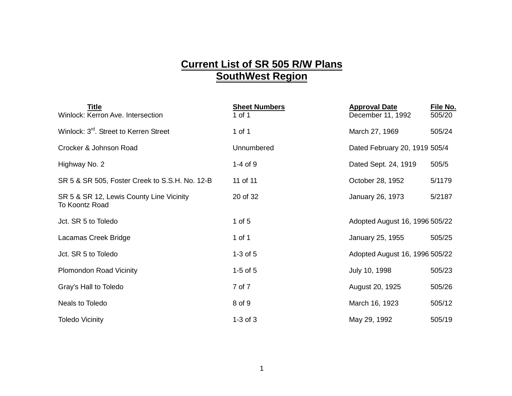## **Current List of SR 505 R/W Plans SouthWest Region**

| <b>Title</b><br>Winlock: Kerron Ave. Intersection          | <b>Sheet Numbers</b><br>1 of 1 | <b>Approval Date</b><br>December 11, 1992 | File No.<br>505/20 |
|------------------------------------------------------------|--------------------------------|-------------------------------------------|--------------------|
| Winlock: 3 <sup>rd</sup> . Street to Kerren Street         | 1 of 1                         | March 27, 1969                            | 505/24             |
| Crocker & Johnson Road                                     | Unnumbered                     | Dated February 20, 1919 505/4             |                    |
| Highway No. 2                                              | $1-4$ of $9$                   | Dated Sept. 24, 1919                      | 505/5              |
| SR 5 & SR 505, Foster Creek to S.S.H. No. 12-B             | 11 of 11                       | October 28, 1952                          | 5/1179             |
| SR 5 & SR 12, Lewis County Line Vicinity<br>To Koontz Road | 20 of 32                       | January 26, 1973                          | 5/2187             |
| Jct. SR 5 to Toledo                                        | 1 of $5$                       | Adopted August 16, 1996 505/22            |                    |
| Lacamas Creek Bridge                                       | 1 of 1                         | January 25, 1955                          | 505/25             |
| Jct. SR 5 to Toledo                                        | $1-3$ of $5$                   | Adopted August 16, 1996 505/22            |                    |
| <b>Plomondon Road Vicinity</b>                             | $1-5$ of $5$                   | July 10, 1998                             | 505/23             |
| Gray's Hall to Toledo                                      | 7 of 7                         | August 20, 1925                           | 505/26             |
| Neals to Toledo                                            | 8 of 9                         | March 16, 1923                            | 505/12             |
| <b>Toledo Vicinity</b>                                     | $1-3$ of $3$                   | May 29, 1992                              | 505/19             |